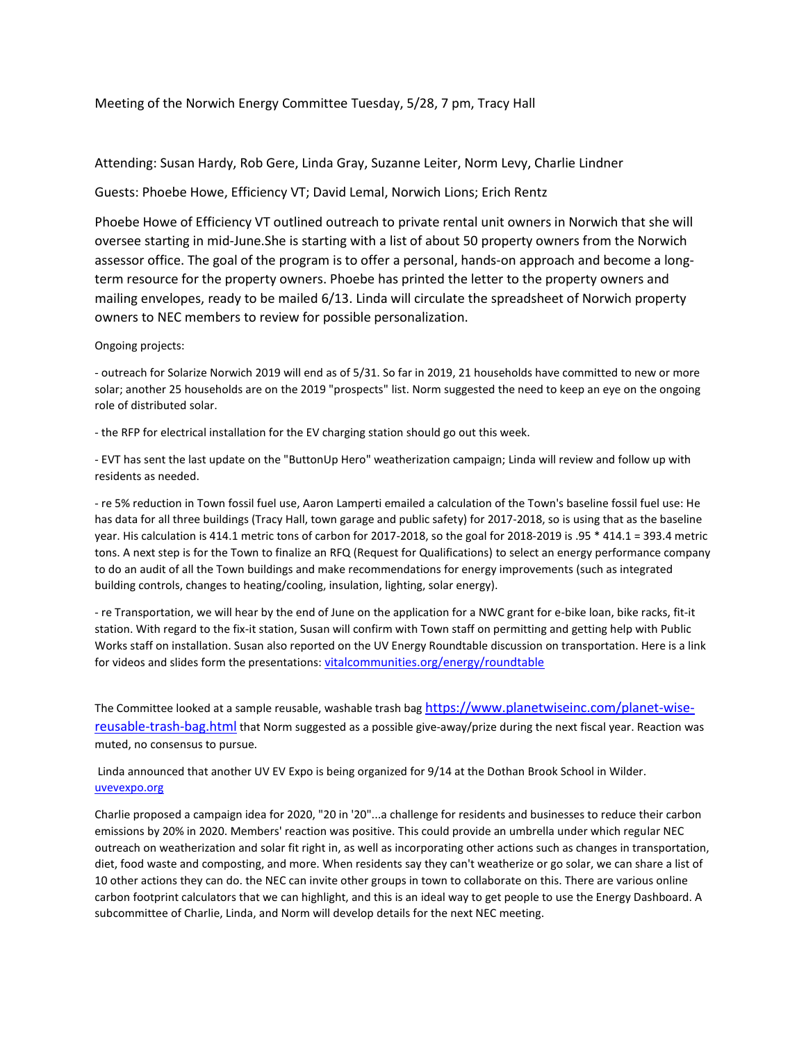# Meeting of the Norwich Energy Committee Tuesday, 5/28, 7 pm, Tracy Hall

### Attending: Susan Hardy, Rob Gere, Linda Gray, Suzanne Leiter, Norm Levy, Charlie Lindner

# Guests: Phoebe Howe, Efficiency VT; David Lemal, Norwich Lions; Erich Rentz

Phoebe Howe of Efficiency VT outlined outreach to private rental unit owners in Norwich that she will oversee starting in mid-June.She is starting with a list of about 50 property owners from the Norwich assessor office. The goal of the program is to offer a personal, hands-on approach and become a longterm resource for the property owners. Phoebe has printed the letter to the property owners and mailing envelopes, ready to be mailed 6/13. Linda will circulate the spreadsheet of Norwich property owners to NEC members to review for possible personalization.

### Ongoing projects:

- outreach for Solarize Norwich 2019 will end as of 5/31. So far in 2019, 21 households have committed to new or more solar; another 25 households are on the 2019 "prospects" list. Norm suggested the need to keep an eye on the ongoing role of distributed solar.

- the RFP for electrical installation for the EV charging station should go out this week.

- EVT has sent the last update on the "ButtonUp Hero" weatherization campaign; Linda will review and follow up with residents as needed.

- re 5% reduction in Town fossil fuel use, Aaron Lamperti emailed a calculation of the Town's baseline fossil fuel use: He has data for all three buildings (Tracy Hall, town garage and public safety) for 2017-2018, so is using that as the baseline year. His calculation is 414.1 metric tons of carbon for 2017-2018, so the goal for 2018-2019 is .95 \* 414.1 = 393.4 metric tons. A next step is for the Town to finalize an RFQ (Request for Qualifications) to select an energy performance company to do an audit of all the Town buildings and make recommendations for energy improvements (such as integrated building controls, changes to heating/cooling, insulation, lighting, solar energy).

- re Transportation, we will hear by the end of June on the application for a NWC grant for e-bike loan, bike racks, fit-it station. With regard to the fix-it station, Susan will confirm with Town staff on permitting and getting help with Public Works staff on installation. Susan also reported on the UV Energy Roundtable discussion on transportation. Here is a link for videos and slides form the presentations: [vitalcommunities.org/energy/roundtable](http://cts.vresp.com/c/?VitalCommunities/6910064221/500c4844de/a2829291f9)

The Committee looked at a sample reusable, washable trash bag [https://www.planetwiseinc.com/planet-wise](https://www.planetwiseinc.com/planet-wise-reusable-trash-bag.html)[reusable-trash-bag.html](https://www.planetwiseinc.com/planet-wise-reusable-trash-bag.html) that Norm suggested as a possible give-away/prize during the next fiscal year. Reaction was muted, no consensus to pursue.

Linda announced that another UV EV Expo is being organized for 9/14 at the Dothan Brook School in Wilder. [uvevexpo.org](http://uvevexpo.org/)

Charlie proposed a campaign idea for 2020, "20 in '20"...a challenge for residents and businesses to reduce their carbon emissions by 20% in 2020. Members' reaction was positive. This could provide an umbrella under which regular NEC outreach on weatherization and solar fit right in, as well as incorporating other actions such as changes in transportation, diet, food waste and composting, and more. When residents say they can't weatherize or go solar, we can share a list of 10 other actions they can do. the NEC can invite other groups in town to collaborate on this. There are various online carbon footprint calculators that we can highlight, and this is an ideal way to get people to use the Energy Dashboard. A subcommittee of Charlie, Linda, and Norm will develop details for the next NEC meeting.